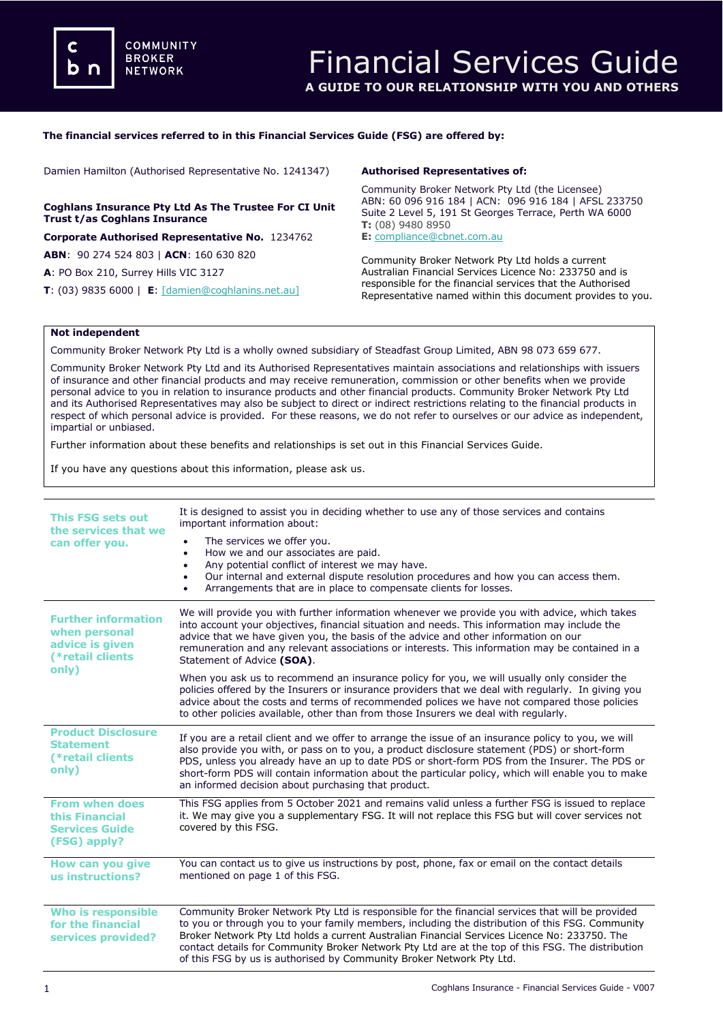#### **The financial services referred to in this Financial Services Guide (FSG) are offered by:**

Damien Hamilton (Authorised Representative No. 1241347)

#### **Coghlans Insurance Pty Ltd As The Trustee For CI Unit Trust t/as Coghlans Insurance**

**Corporate Authorised Representative No.** 1234762

**ABN**: 90 274 524 803 | **ACN**: 160 630 820

**A**: PO Box 210, Surrey Hills VIC 3127

**T**: (03) 9835 6000 | **E**: [\[damien@coghlanins.net.au\]](mailto:meena@dataprivacyinsurance.com.au)

#### **Authorised Representatives of:**

Community Broker Network Pty Ltd (the Licensee) ABN: 60 096 916 184 | ACN: 096 916 184 | AFSL 233750 Suite 2 Level 5, 191 St Georges Terrace, Perth WA 6000 **T:** (08) 9480 8950 **E:** [compliance@cbnet.com.au](mailto:queries@naswg.com.au) 

Community Broker Network Pty Ltd holds a current Australian Financial Services Licence No: 233750 and is responsible for the financial services that the Authorised Representative named within this document provides to you.

#### **Not independent**

Community Broker Network Pty Ltd is a wholly owned subsidiary of Steadfast Group Limited, ABN 98 073 659 677.

Community Broker Network Pty Ltd and its Authorised Representatives maintain associations and relationships with issuers of insurance and other financial products and may receive remuneration, commission or other benefits when we provide personal advice to you in relation to insurance products and other financial products. Community Broker Network Pty Ltd and its Authorised Representatives may also be subject to direct or indirect restrictions relating to the financial products in respect of which personal advice is provided. For these reasons, we do not refer to ourselves or our advice as independent, impartial or unbiased.

Further information about these benefits and relationships is set out in this Financial Services Guide.

If you have any questions about this information, please ask us.

| <b>This FSG sets out</b><br>the services that we<br>can offer you.                          | It is designed to assist you in deciding whether to use any of those services and contains<br>important information about:<br>The services we offer you.<br>How we and our associates are paid.<br>$\bullet$<br>Any potential conflict of interest we may have.<br>$\bullet$<br>Our internal and external dispute resolution procedures and how you can access them.<br>٠<br>Arrangements that are in place to compensate clients for losses.<br>$\bullet$                       |
|---------------------------------------------------------------------------------------------|----------------------------------------------------------------------------------------------------------------------------------------------------------------------------------------------------------------------------------------------------------------------------------------------------------------------------------------------------------------------------------------------------------------------------------------------------------------------------------|
| <b>Further information</b><br>when personal<br>advice is given<br>(*retail clients<br>only) | We will provide you with further information whenever we provide you with advice, which takes<br>into account your objectives, financial situation and needs. This information may include the<br>advice that we have given you, the basis of the advice and other information on our<br>remuneration and any relevant associations or interests. This information may be contained in a<br>Statement of Advice (SOA).                                                           |
|                                                                                             | When you ask us to recommend an insurance policy for you, we will usually only consider the<br>policies offered by the Insurers or insurance providers that we deal with regularly. In giving you<br>advice about the costs and terms of recommended polices we have not compared those policies<br>to other policies available, other than from those Insurers we deal with regularly.                                                                                          |
| <b>Product Disclosure</b><br><b>Statement</b><br>(*retail clients<br>only)                  | If you are a retail client and we offer to arrange the issue of an insurance policy to you, we will<br>also provide you with, or pass on to you, a product disclosure statement (PDS) or short-form<br>PDS, unless you already have an up to date PDS or short-form PDS from the Insurer. The PDS or<br>short-form PDS will contain information about the particular policy, which will enable you to make<br>an informed decision about purchasing that product.                |
| <b>From when does</b><br>this Financial<br><b>Services Guide</b><br>(FSG) apply?            | This FSG applies from 5 October 2021 and remains valid unless a further FSG is issued to replace<br>it. We may give you a supplementary FSG. It will not replace this FSG but will cover services not<br>covered by this FSG.                                                                                                                                                                                                                                                    |
| How can you give<br>us instructions?                                                        | You can contact us to give us instructions by post, phone, fax or email on the contact details<br>mentioned on page 1 of this FSG.                                                                                                                                                                                                                                                                                                                                               |
| <b>Who is responsible</b><br>for the financial<br>services provided?                        | Community Broker Network Pty Ltd is responsible for the financial services that will be provided<br>to you or through you to your family members, including the distribution of this FSG. Community<br>Broker Network Pty Ltd holds a current Australian Financial Services Licence No: 233750. The<br>contact details for Community Broker Network Pty Ltd are at the top of this FSG. The distribution<br>of this FSG by us is authorised by Community Broker Network Pty Ltd. |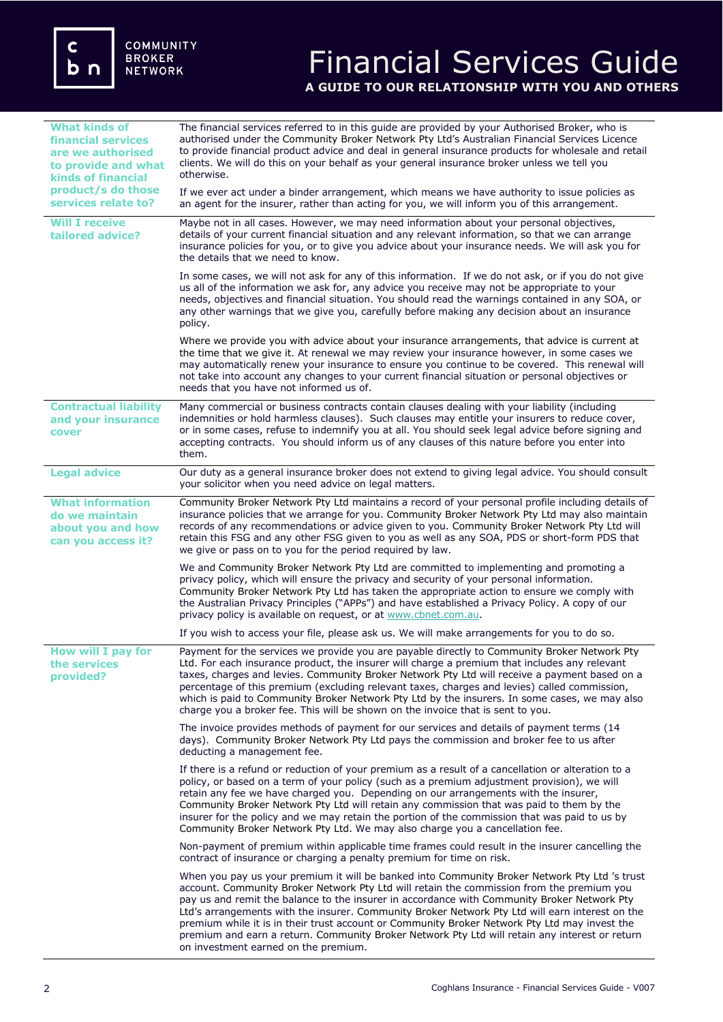## Financial Services Guide **A GUIDE TO OUR RELATIONSHIP WITH YOU AND OTHERS**

| <b>What kinds of</b><br><b>financial services</b><br>are we authorised<br>to provide and what<br><b>kinds of financial</b> | The financial services referred to in this quide are provided by your Authorised Broker, who is<br>authorised under the Community Broker Network Pty Ltd's Australian Financial Services Licence<br>to provide financial product advice and deal in general insurance products for wholesale and retail<br>clients. We will do this on your behalf as your general insurance broker unless we tell you<br>otherwise.                                                                                                                                                                                                                    |
|----------------------------------------------------------------------------------------------------------------------------|-----------------------------------------------------------------------------------------------------------------------------------------------------------------------------------------------------------------------------------------------------------------------------------------------------------------------------------------------------------------------------------------------------------------------------------------------------------------------------------------------------------------------------------------------------------------------------------------------------------------------------------------|
| product/s do those<br>services relate to?                                                                                  | If we ever act under a binder arrangement, which means we have authority to issue policies as<br>an agent for the insurer, rather than acting for you, we will inform you of this arrangement.                                                                                                                                                                                                                                                                                                                                                                                                                                          |
| <b>Will I receive</b><br>tailored advice?                                                                                  | Maybe not in all cases. However, we may need information about your personal objectives,<br>details of your current financial situation and any relevant information, so that we can arrange<br>insurance policies for you, or to give you advice about your insurance needs. We will ask you for<br>the details that we need to know.                                                                                                                                                                                                                                                                                                  |
|                                                                                                                            | In some cases, we will not ask for any of this information. If we do not ask, or if you do not give<br>us all of the information we ask for, any advice you receive may not be appropriate to your<br>needs, objectives and financial situation. You should read the warnings contained in any SOA, or<br>any other warnings that we give you, carefully before making any decision about an insurance<br>policy.                                                                                                                                                                                                                       |
|                                                                                                                            | Where we provide you with advice about your insurance arrangements, that advice is current at<br>the time that we give it. At renewal we may review your insurance however, in some cases we<br>may automatically renew your insurance to ensure you continue to be covered. This renewal will<br>not take into account any changes to your current financial situation or personal objectives or<br>needs that you have not informed us of.                                                                                                                                                                                            |
| <b>Contractual liability</b><br>and your insurance<br>cover                                                                | Many commercial or business contracts contain clauses dealing with your liability (including<br>indemnities or hold harmless clauses). Such clauses may entitle your insurers to reduce cover,<br>or in some cases, refuse to indemnify you at all. You should seek legal advice before signing and<br>accepting contracts. You should inform us of any clauses of this nature before you enter into<br>them.                                                                                                                                                                                                                           |
| <b>Legal advice</b>                                                                                                        | Our duty as a general insurance broker does not extend to giving legal advice. You should consult<br>your solicitor when you need advice on legal matters.                                                                                                                                                                                                                                                                                                                                                                                                                                                                              |
| <b>What information</b><br>do we maintain<br>about you and how<br>can you access it?                                       | Community Broker Network Pty Ltd maintains a record of your personal profile including details of<br>insurance policies that we arrange for you. Community Broker Network Pty Ltd may also maintain<br>records of any recommendations or advice given to you. Community Broker Network Pty Ltd will<br>retain this FSG and any other FSG given to you as well as any SOA, PDS or short-form PDS that<br>we give or pass on to you for the period required by law.                                                                                                                                                                       |
|                                                                                                                            | We and Community Broker Network Pty Ltd are committed to implementing and promoting a<br>privacy policy, which will ensure the privacy and security of your personal information.<br>Community Broker Network Pty Ltd has taken the appropriate action to ensure we comply with<br>the Australian Privacy Principles ("APPs") and have established a Privacy Policy. A copy of our<br>privacy policy is available on request, or at www.cbnet.com.au.                                                                                                                                                                                   |
|                                                                                                                            | If you wish to access your file, please ask us. We will make arrangements for you to do so.                                                                                                                                                                                                                                                                                                                                                                                                                                                                                                                                             |
| <b>How will I pay for</b><br>the services<br>provided?                                                                     | Payment for the services we provide you are payable directly to Community Broker Network Pty<br>Ltd. For each insurance product, the insurer will charge a premium that includes any relevant<br>taxes, charges and levies. Community Broker Network Pty Ltd will receive a payment based on a<br>percentage of this premium (excluding relevant taxes, charges and levies) called commission,<br>which is paid to Community Broker Network Pty Ltd by the insurers. In some cases, we may also<br>charge you a broker fee. This will be shown on the invoice that is sent to you.                                                      |
|                                                                                                                            | The invoice provides methods of payment for our services and details of payment terms (14<br>days). Community Broker Network Pty Ltd pays the commission and broker fee to us after<br>deducting a management fee.                                                                                                                                                                                                                                                                                                                                                                                                                      |
|                                                                                                                            | If there is a refund or reduction of your premium as a result of a cancellation or alteration to a<br>policy, or based on a term of your policy (such as a premium adjustment provision), we will<br>retain any fee we have charged you. Depending on our arrangements with the insurer,<br>Community Broker Network Pty Ltd will retain any commission that was paid to them by the<br>insurer for the policy and we may retain the portion of the commission that was paid to us by<br>Community Broker Network Pty Ltd. We may also charge you a cancellation fee.                                                                   |
|                                                                                                                            | Non-payment of premium within applicable time frames could result in the insurer cancelling the<br>contract of insurance or charging a penalty premium for time on risk.                                                                                                                                                                                                                                                                                                                                                                                                                                                                |
|                                                                                                                            | When you pay us your premium it will be banked into Community Broker Network Pty Ltd 's trust<br>account. Community Broker Network Pty Ltd will retain the commission from the premium you<br>pay us and remit the balance to the insurer in accordance with Community Broker Network Pty<br>Ltd's arrangements with the insurer. Community Broker Network Pty Ltd will earn interest on the<br>premium while it is in their trust account or Community Broker Network Pty Ltd may invest the<br>premium and earn a return. Community Broker Network Pty Ltd will retain any interest or return<br>on investment earned on the premium. |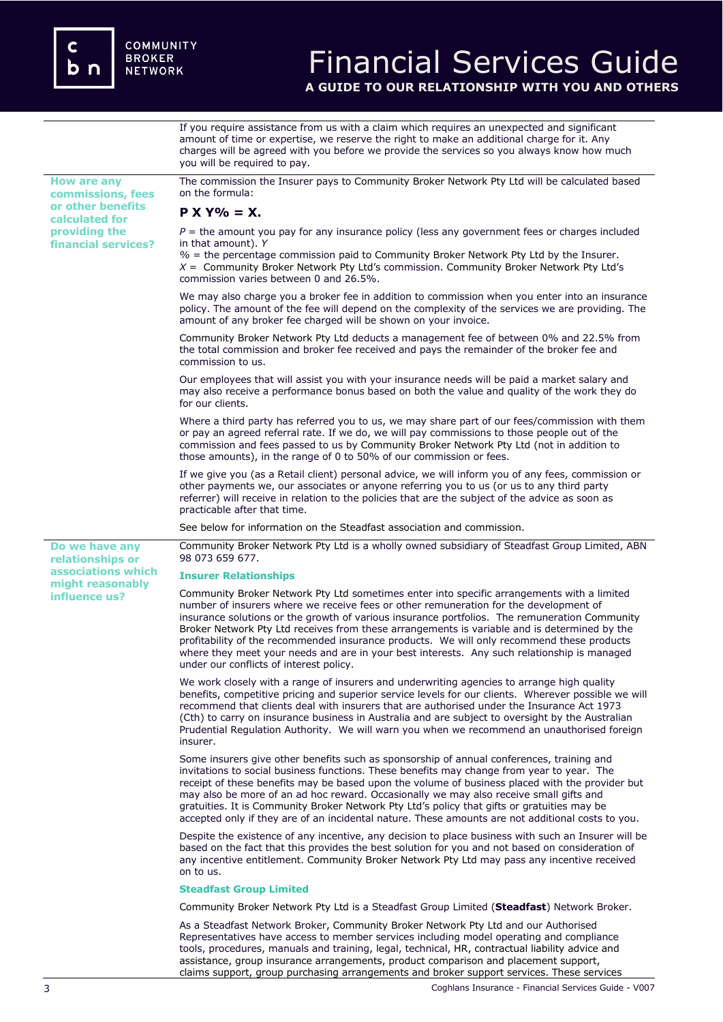

# Financial Services Guide

**A GUIDE TO OUR RELATIONSHIP WITH YOU AND OTHERS**

If you require assistance from us with a claim which requires an unexpected and significant amount of time or expertise, we reserve the right to make an additional charge for it. Any charges will be agreed with you before we provide the services so you always know how much you will be required to pay.

**How are any commissions, fees or other benefits calculated for providing the financial services?** The commission the Insurer pays to Community Broker Network Pty Ltd will be calculated based on the formula: **P X Y% = X.**  $P =$  the amount you pay for any insurance policy (less any government fees or charges included in that amount). *Y %* = the percentage commission paid to Community Broker Network Pty Ltd by the Insurer. *X* = Community Broker Network Pty Ltd's commission. Community Broker Network Pty Ltd's commission varies between 0 and 26.5%. We may also charge you a broker fee in addition to commission when you enter into an insurance policy. The amount of the fee will depend on the complexity of the services we are providing. The amount of any broker fee charged will be shown on your invoice. Community Broker Network Pty Ltd deducts a management fee of between 0% and 22.5% from the total commission and broker fee received and pays the remainder of the broker fee and commission to us. Our employees that will assist you with your insurance needs will be paid a market salary and may also receive a performance bonus based on both the value and quality of the work they do for our clients. Where a third party has referred you to us, we may share part of our fees/commission with them or pay an agreed referral rate. If we do, we will pay commissions to those people out of the commission and fees passed to us by Community Broker Network Pty Ltd (not in addition to those amounts), in the range of 0 to 50% of our commission or fees. If we give you (as a Retail client) personal advice, we will inform you of any fees, commission or other payments we, our associates or anyone referring you to us (or us to any third party referrer) will receive in relation to the policies that are the subject of the advice as soon as practicable after that time. See below for information on the Steadfast association and commission. **Do we have any relationships or associations which might reasonably influence us?**  Community Broker Network Pty Ltd is a wholly owned subsidiary of Steadfast Group Limited, ABN 98 073 659 677. **Insurer Relationships**  Community Broker Network Pty Ltd sometimes enter into specific arrangements with a limited number of insurers where we receive fees or other remuneration for the development of insurance solutions or the growth of various insurance portfolios. The remuneration Community Broker Network Pty Ltd receives from these arrangements is variable and is determined by the profitability of the recommended insurance products. We will only recommend these products where they meet your needs and are in your best interests. Any such relationship is managed under our conflicts of interest policy. We work closely with a range of insurers and underwriting agencies to arrange high quality benefits, competitive pricing and superior service levels for our clients. Wherever possible we will recommend that clients deal with insurers that are authorised under the Insurance Act 1973 (Cth) to carry on insurance business in Australia and are subject to oversight by the Australian Prudential Regulation Authority. We will warn you when we recommend an unauthorised foreign insurer. Some insurers give other benefits such as sponsorship of annual conferences, training and invitations to social business functions. These benefits may change from year to year. The receipt of these benefits may be based upon the volume of business placed with the provider but may also be more of an ad hoc reward. Occasionally we may also receive small gifts and gratuities. It is Community Broker Network Pty Ltd's policy that gifts or gratuities may be accepted only if they are of an incidental nature. These amounts are not additional costs to you. Despite the existence of any incentive, any decision to place business with such an Insurer will be based on the fact that this provides the best solution for you and not based on consideration of any incentive entitlement. Community Broker Network Pty Ltd may pass any incentive received on to us. **Steadfast Group Limited** Community Broker Network Pty Ltd is a Steadfast Group Limited (**Steadfast**) Network Broker. As a Steadfast Network Broker, Community Broker Network Pty Ltd and our Authorised Representatives have access to member services including model operating and compliance tools, procedures, manuals and training, legal, technical, HR, contractual liability advice and assistance, group insurance arrangements, product comparison and placement support,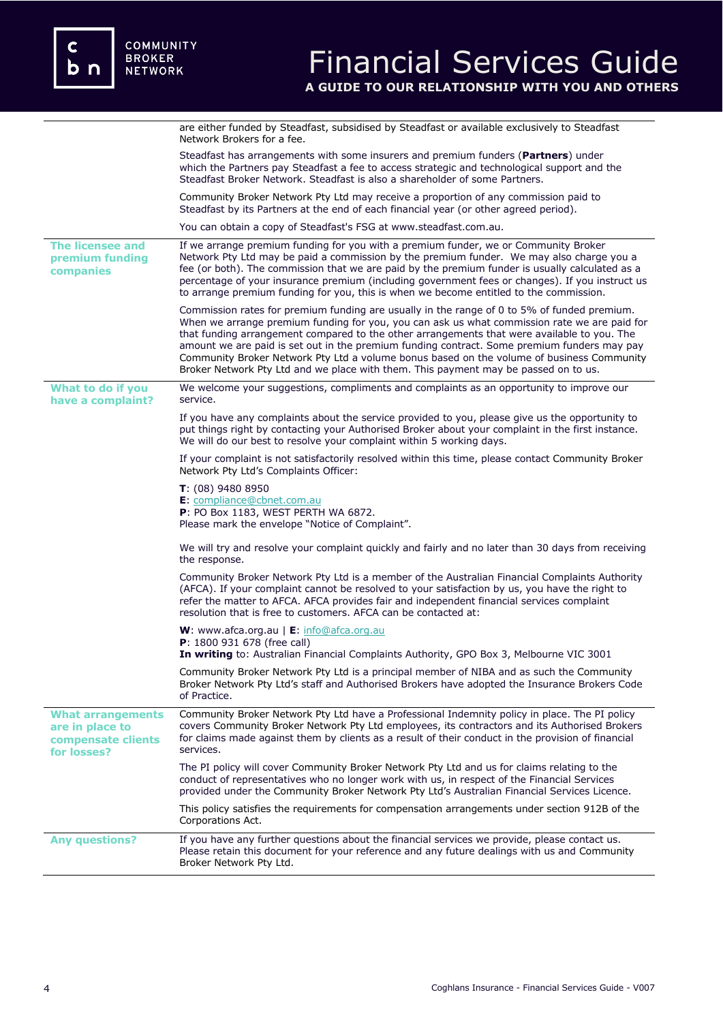|                                                                                  | are either funded by Steadfast, subsidised by Steadfast or available exclusively to Steadfast<br>Network Brokers for a fee.                                                                                                                                                                                                                                                                                                                                                                                                                                                   |
|----------------------------------------------------------------------------------|-------------------------------------------------------------------------------------------------------------------------------------------------------------------------------------------------------------------------------------------------------------------------------------------------------------------------------------------------------------------------------------------------------------------------------------------------------------------------------------------------------------------------------------------------------------------------------|
|                                                                                  | Steadfast has arrangements with some insurers and premium funders (Partners) under<br>which the Partners pay Steadfast a fee to access strategic and technological support and the<br>Steadfast Broker Network. Steadfast is also a shareholder of some Partners.                                                                                                                                                                                                                                                                                                             |
|                                                                                  | Community Broker Network Pty Ltd may receive a proportion of any commission paid to<br>Steadfast by its Partners at the end of each financial year (or other agreed period).                                                                                                                                                                                                                                                                                                                                                                                                  |
|                                                                                  | You can obtain a copy of Steadfast's FSG at www.steadfast.com.au.                                                                                                                                                                                                                                                                                                                                                                                                                                                                                                             |
| The licensee and<br>premium funding<br>companies                                 | If we arrange premium funding for you with a premium funder, we or Community Broker<br>Network Pty Ltd may be paid a commission by the premium funder. We may also charge you a<br>fee (or both). The commission that we are paid by the premium funder is usually calculated as a<br>percentage of your insurance premium (including government fees or changes). If you instruct us<br>to arrange premium funding for you, this is when we become entitled to the commission.                                                                                               |
|                                                                                  | Commission rates for premium funding are usually in the range of 0 to 5% of funded premium.<br>When we arrange premium funding for you, you can ask us what commission rate we are paid for<br>that funding arrangement compared to the other arrangements that were available to you. The<br>amount we are paid is set out in the premium funding contract. Some premium funders may pay<br>Community Broker Network Pty Ltd a volume bonus based on the volume of business Community<br>Broker Network Pty Ltd and we place with them. This payment may be passed on to us. |
| What to do if you<br>have a complaint?                                           | We welcome your suggestions, compliments and complaints as an opportunity to improve our<br>service.                                                                                                                                                                                                                                                                                                                                                                                                                                                                          |
|                                                                                  | If you have any complaints about the service provided to you, please give us the opportunity to<br>put things right by contacting your Authorised Broker about your complaint in the first instance.<br>We will do our best to resolve your complaint within 5 working days.                                                                                                                                                                                                                                                                                                  |
|                                                                                  | If your complaint is not satisfactorily resolved within this time, please contact Community Broker<br>Network Pty Ltd's Complaints Officer:                                                                                                                                                                                                                                                                                                                                                                                                                                   |
|                                                                                  | $T: (08)$ 9480 8950<br>E: compliance@cbnet.com.au<br><b>P</b> : PO Box 1183, WEST PERTH WA 6872.<br>Please mark the envelope "Notice of Complaint".                                                                                                                                                                                                                                                                                                                                                                                                                           |
|                                                                                  | We will try and resolve your complaint quickly and fairly and no later than 30 days from receiving<br>the response.                                                                                                                                                                                                                                                                                                                                                                                                                                                           |
|                                                                                  | Community Broker Network Pty Ltd is a member of the Australian Financial Complaints Authority<br>(AFCA). If your complaint cannot be resolved to your satisfaction by us, you have the right to<br>refer the matter to AFCA. AFCA provides fair and independent financial services complaint<br>resolution that is free to customers. AFCA can be contacted at:                                                                                                                                                                                                               |
|                                                                                  | W: www.afca.org.au   E: info@afca.org.au<br>P: 1800 931 678 (free call)<br>In writing to: Australian Financial Complaints Authority, GPO Box 3, Melbourne VIC 3001                                                                                                                                                                                                                                                                                                                                                                                                            |
|                                                                                  | Community Broker Network Pty Ltd is a principal member of NIBA and as such the Community<br>Broker Network Pty Ltd's staff and Authorised Brokers have adopted the Insurance Brokers Code<br>of Practice.                                                                                                                                                                                                                                                                                                                                                                     |
| <b>What arrangements</b><br>are in place to<br>compensate clients<br>for losses? | Community Broker Network Pty Ltd have a Professional Indemnity policy in place. The PI policy<br>covers Community Broker Network Pty Ltd employees, its contractors and its Authorised Brokers<br>for claims made against them by clients as a result of their conduct in the provision of financial<br>services.                                                                                                                                                                                                                                                             |
|                                                                                  | The PI policy will cover Community Broker Network Pty Ltd and us for claims relating to the<br>conduct of representatives who no longer work with us, in respect of the Financial Services<br>provided under the Community Broker Network Pty Ltd's Australian Financial Services Licence.                                                                                                                                                                                                                                                                                    |
|                                                                                  | This policy satisfies the requirements for compensation arrangements under section 912B of the<br>Corporations Act.                                                                                                                                                                                                                                                                                                                                                                                                                                                           |
| <b>Any questions?</b>                                                            | If you have any further questions about the financial services we provide, please contact us.<br>Please retain this document for your reference and any future dealings with us and Community<br>Broker Network Pty Ltd.                                                                                                                                                                                                                                                                                                                                                      |